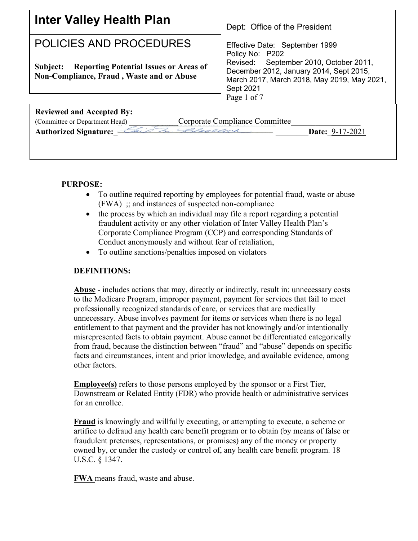| <b>Inter Valley Health Plan</b>                                                                                                                                          | Dept: Office of the President                                                                                                                                   |
|--------------------------------------------------------------------------------------------------------------------------------------------------------------------------|-----------------------------------------------------------------------------------------------------------------------------------------------------------------|
| POLICIES AND PROCEDURES                                                                                                                                                  | Effective Date: September 1999<br>Policy No: P202                                                                                                               |
| <b>Reporting Potential Issues or Areas of</b><br>Subject:<br>Non-Compliance, Fraud, Waste and or Abuse                                                                   | September 2010, October 2011,<br>Revised:<br>December 2012, January 2014, Sept 2015,<br>March 2017, March 2018, May 2019, May 2021,<br>Sept 2021<br>Page 1 of 7 |
| <b>Reviewed and Accepted By:</b><br>Corporate Compliance Committee<br>(Committee or Department Head)<br>Authorized Signature: Cais 3. Blackson<br><b>Date: 9-17-2021</b> |                                                                                                                                                                 |

# **PURPOSE:**

- To outline required reporting by employees for potential fraud, waste or abuse (FWA) ;; and instances of suspected non-compliance
- the process by which an individual may file a report regarding a potential fraudulent activity or any other violation of Inter Valley Health Plan's Corporate Compliance Program (CCP) and corresponding Standards of Conduct anonymously and without fear of retaliation,
- To outline sanctions/penalties imposed on violators

## **DEFINITIONS:**

**Abuse** - includes actions that may, directly or indirectly, result in: unnecessary costs to the Medicare Program, improper payment, payment for services that fail to meet professionally recognized standards of care, or services that are medically unnecessary. Abuse involves payment for items or services when there is no legal entitlement to that payment and the provider has not knowingly and/or intentionally misrepresented facts to obtain payment. Abuse cannot be differentiated categorically from fraud, because the distinction between "fraud" and "abuse" depends on specific facts and circumstances, intent and prior knowledge, and available evidence, among other factors.

**Employee(s)** refers to those persons employed by the sponsor or a First Tier, Downstream or Related Entity (FDR) who provide health or administrative services for an enrollee.

**Fraud** is knowingly and willfully executing, or attempting to execute, a scheme or artifice to defraud any health care benefit program or to obtain (by means of false or fraudulent pretenses, representations, or promises) any of the money or property owned by, or under the custody or control of, any health care benefit program. 18 U.S.C. § 1347.

**FWA** means fraud, waste and abuse.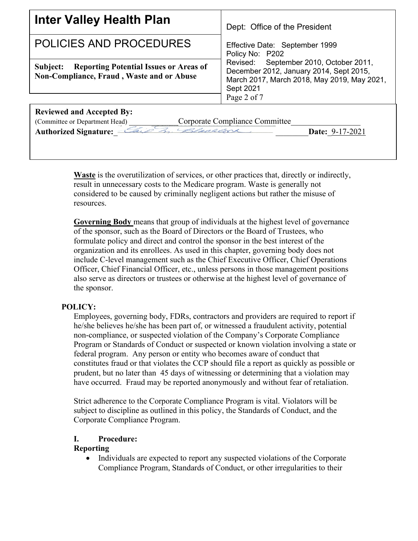| <b>Inter Valley Health Plan</b>                                                                                                                                         | Dept: Office of the President<br>Effective Date: September 1999<br>Policy No: P202                                                                           |  |
|-------------------------------------------------------------------------------------------------------------------------------------------------------------------------|--------------------------------------------------------------------------------------------------------------------------------------------------------------|--|
| <b>POLICIES AND PROCEDURES</b>                                                                                                                                          |                                                                                                                                                              |  |
| <b>Subject:</b> Reporting Potential Issues or Areas of<br>Non-Compliance, Fraud, Waste and or Abuse                                                                     | Revised: September 2010, October 2011,<br>December 2012, January 2014, Sept 2015,<br>March 2017, March 2018, May 2019, May 2021,<br>Sept 2021<br>Page 2 of 7 |  |
| <b>Reviewed and Accepted By:</b><br>Corporate Compliance Committee<br>(Committee or Department Head)<br>Authorized Signature: Chip In Checker<br><b>Date: 9-17-2021</b> |                                                                                                                                                              |  |

**Waste** is the overutilization of services, or other practices that, directly or indirectly, result in unnecessary costs to the Medicare program. Waste is generally not considered to be caused by criminally negligent actions but rather the misuse of resources.

**Governing Body** means that group of individuals at the highest level of governance of the sponsor, such as the Board of Directors or the Board of Trustees, who formulate policy and direct and control the sponsor in the best interest of the organization and its enrollees. As used in this chapter, governing body does not include C-level management such as the Chief Executive Officer, Chief Operations Officer, Chief Financial Officer, etc., unless persons in those management positions also serve as directors or trustees or otherwise at the highest level of governance of the sponsor.

## **POLICY:**

Employees, governing body, FDRs, contractors and providers are required to report if he/she believes he/she has been part of, or witnessed a fraudulent activity, potential non-compliance, or suspected violation of the Company's Corporate Compliance Program or Standards of Conduct or suspected or known violation involving a state or federal program. Any person or entity who becomes aware of conduct that constitutes fraud or that violates the CCP should file a report as quickly as possible or prudent, but no later than 45 days of witnessing or determining that a violation may have occurred. Fraud may be reported anonymously and without fear of retaliation.

Strict adherence to the Corporate Compliance Program is vital. Violators will be subject to discipline as outlined in this policy, the Standards of Conduct, and the Corporate Compliance Program.

## **I. Procedure:**

## **Reporting**

• Individuals are expected to report any suspected violations of the Corporate Compliance Program, Standards of Conduct, or other irregularities to their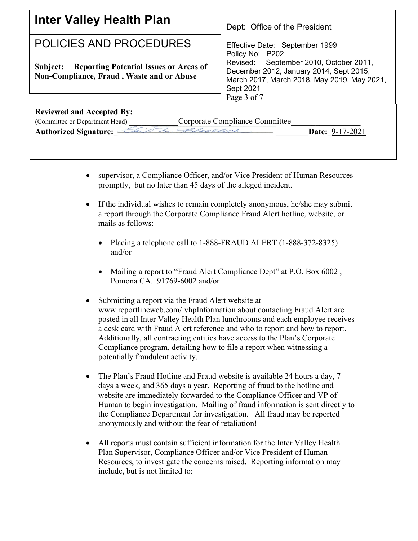| Inter Valley Health Plan                                                                                      | Dept: Office of the President                                                                                                                                |
|---------------------------------------------------------------------------------------------------------------|--------------------------------------------------------------------------------------------------------------------------------------------------------------|
| POLICIES AND PROCEDURES                                                                                       | Effective Date: September 1999<br>Policy No: P202                                                                                                            |
| <b>Reporting Potential Issues or Areas of</b><br>Subject:<br><b>Non-Compliance, Fraud, Waste and or Abuse</b> | Revised: September 2010, October 2011,<br>December 2012, January 2014, Sept 2015,<br>March 2017, March 2018, May 2019, May 2021,<br>Sept 2021<br>Page 3 of 7 |
| <b>Reviewed and Accepted By:</b>                                                                              |                                                                                                                                                              |
| Corporate Compliance Committee<br>(Committee or Department Head)                                              |                                                                                                                                                              |
| Authorized Signature: Chip In Chaplear                                                                        | <b>Date: 9-17-2021</b>                                                                                                                                       |

- supervisor, a Compliance Officer, and/or Vice President of Human Resources promptly, but no later than 45 days of the alleged incident.
- If the individual wishes to remain completely anonymous, he/she may submit a report through the Corporate Compliance Fraud Alert hotline, website, or mails as follows:
	- Placing a telephone call to 1-888-FRAUD ALERT (1-888-372-8325) and/or
	- Mailing a report to "Fraud Alert Compliance Dept" at P.O. Box 6002 , Pomona CA. 91769-6002 and/or
- Submitting a report via the Fraud Alert website at www.reportlineweb.com/ivhpInformation about contacting Fraud Alert are posted in all Inter Valley Health Plan lunchrooms and each employee receives a desk card with Fraud Alert reference and who to report and how to report. Additionally, all contracting entities have access to the Plan's Corporate Compliance program, detailing how to file a report when witnessing a potentially fraudulent activity.
- The Plan's Fraud Hotline and Fraud website is available 24 hours a day, 7 days a week, and 365 days a year. Reporting of fraud to the hotline and website are immediately forwarded to the Compliance Officer and VP of Human to begin investigation. Mailing of fraud information is sent directly to the Compliance Department for investigation. All fraud may be reported anonymously and without the fear of retaliation!
- All reports must contain sufficient information for the Inter Valley Health Plan Supervisor, Compliance Officer and/or Vice President of Human Resources, to investigate the concerns raised. Reporting information may include, but is not limited to: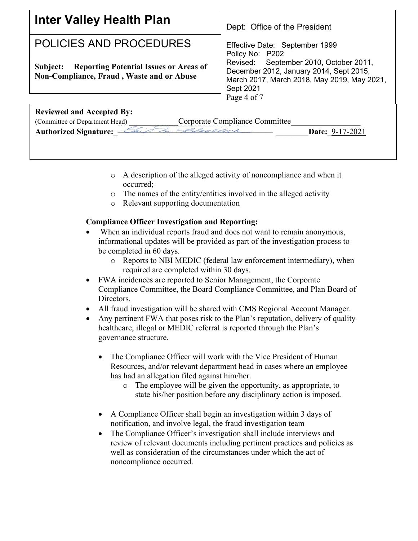

- o A description of the alleged activity of noncompliance and when it occurred;
- o The names of the entity/entities involved in the alleged activity
- o Relevant supporting documentation

# **Compliance Officer Investigation and Reporting:**

- When an individual reports fraud and does not want to remain anonymous, informational updates will be provided as part of the investigation process to be completed in 60 days.
	- o Reports to NBI MEDIC (federal law enforcement intermediary), when required are completed within 30 days.
- FWA incidences are reported to Senior Management, the Corporate Compliance Committee, the Board Compliance Committee, and Plan Board of Directors.
- All fraud investigation will be shared with CMS Regional Account Manager.
- Any pertinent FWA that poses risk to the Plan's reputation, delivery of quality healthcare, illegal or MEDIC referral is reported through the Plan's governance structure.
	- The Compliance Officer will work with the Vice President of Human Resources, and/or relevant department head in cases where an employee has had an allegation filed against him/her.
		- o The employee will be given the opportunity, as appropriate, to state his/her position before any disciplinary action is imposed.
	- A Compliance Officer shall begin an investigation within 3 days of notification, and involve legal, the fraud investigation team
	- The Compliance Officer's investigation shall include interviews and review of relevant documents including pertinent practices and policies as well as consideration of the circumstances under which the act of noncompliance occurred.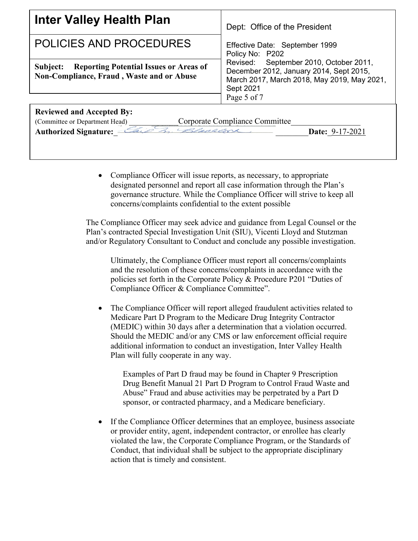| <b>Inter Valley Health Plan</b>                                                                                                                                        | Dept: Office of the President                                                                                                                                |  |
|------------------------------------------------------------------------------------------------------------------------------------------------------------------------|--------------------------------------------------------------------------------------------------------------------------------------------------------------|--|
| POLICIES AND PROCEDURES                                                                                                                                                | Effective Date: September 1999<br>Policy No: P202                                                                                                            |  |
| <b>Reporting Potential Issues or Areas of</b><br>Subject:<br>Non-Compliance, Fraud, Waste and or Abuse                                                                 | Revised: September 2010, October 2011,<br>December 2012, January 2014, Sept 2015,<br>March 2017, March 2018, May 2019, May 2021,<br>Sept 2021<br>Page 5 of 7 |  |
| <b>Reviewed and Accepted By:</b><br>Corporate Compliance Committee<br>(Committee or Department Head)<br>Authorized Signature:<br>I Blacklock<br><b>Date: 9-17-2021</b> |                                                                                                                                                              |  |

• Compliance Officer will issue reports, as necessary, to appropriate designated personnel and report all case information through the Plan's governance structure. While the Compliance Officer will strive to keep all concerns/complaints confidential to the extent possible

The Compliance Officer may seek advice and guidance from Legal Counsel or the Plan's contracted Special Investigation Unit (SIU), Vicenti Lloyd and Stutzman and/or Regulatory Consultant to Conduct and conclude any possible investigation.

Ultimately, the Compliance Officer must report all concerns/complaints and the resolution of these concerns/complaints in accordance with the policies set forth in the Corporate Policy & Procedure P201 "Duties of Compliance Officer & Compliance Committee".

The Compliance Officer will report alleged fraudulent activities related to Medicare Part D Program to the Medicare Drug Integrity Contractor (MEDIC) within 30 days after a determination that a violation occurred. Should the MEDIC and/or any CMS or law enforcement official require additional information to conduct an investigation, Inter Valley Health Plan will fully cooperate in any way.

Examples of Part D fraud may be found in Chapter 9 Prescription Drug Benefit Manual 21 Part D Program to Control Fraud Waste and Abuse" Fraud and abuse activities may be perpetrated by a Part D sponsor, or contracted pharmacy, and a Medicare beneficiary.

If the Compliance Officer determines that an employee, business associate or provider entity, agent, independent contractor, or enrollee has clearly violated the law, the Corporate Compliance Program, or the Standards of Conduct, that individual shall be subject to the appropriate disciplinary action that is timely and consistent.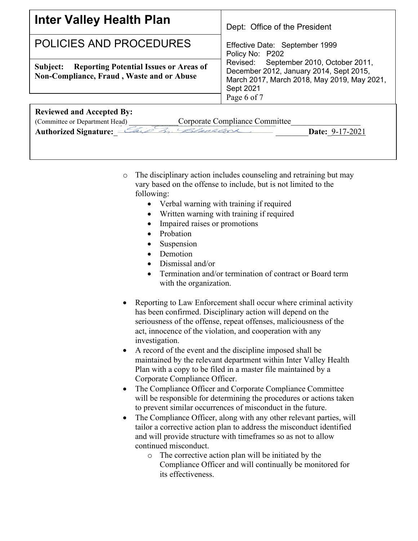

- o The disciplinary action includes counseling and retraining but may vary based on the offense to include, but is not limited to the following:
	- Verbal warning with training if required
	- Written warning with training if required
	- Impaired raises or promotions
	- Probation
	- **Suspension**
	- Demotion
	- Dismissal and/or
	- Termination and/or termination of contract or Board term with the organization.
- Reporting to Law Enforcement shall occur where criminal activity has been confirmed. Disciplinary action will depend on the seriousness of the offense, repeat offenses, maliciousness of the act, innocence of the violation, and cooperation with any investigation.
- A record of the event and the discipline imposed shall be maintained by the relevant department within Inter Valley Health Plan with a copy to be filed in a master file maintained by a Corporate Compliance Officer.
- The Compliance Officer and Corporate Compliance Committee will be responsible for determining the procedures or actions taken to prevent similar occurrences of misconduct in the future.
- The Compliance Officer, along with any other relevant parties, will tailor a corrective action plan to address the misconduct identified and will provide structure with timeframes so as not to allow continued misconduct.
	- o The corrective action plan will be initiated by the Compliance Officer and will continually be monitored for its effectiveness.